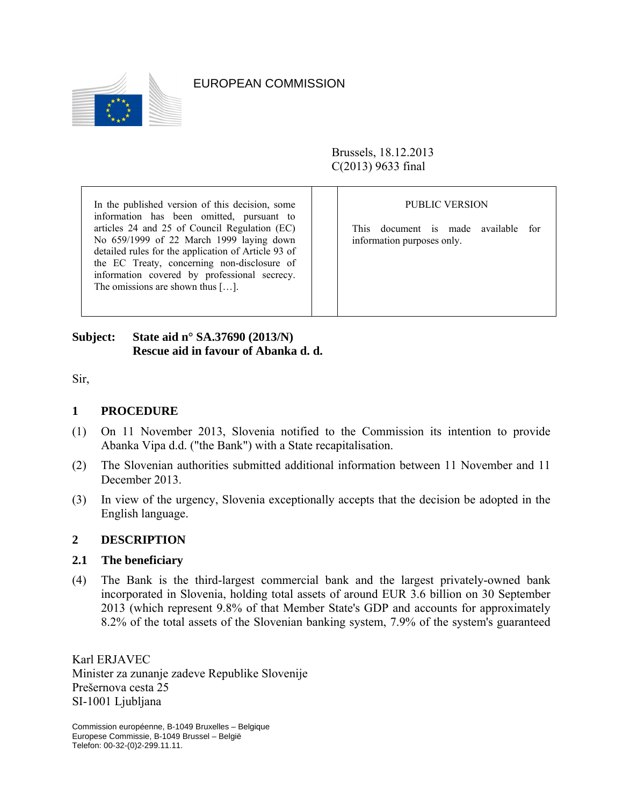

EUROPEAN COMMISSION

Brussels, 18.12.2013 C(2013) 9633 final

| In the published version of this decision, some                                                                                                                                                                                                                                                                                          | <b>PUBLIC VERSION</b>                                                    |
|------------------------------------------------------------------------------------------------------------------------------------------------------------------------------------------------------------------------------------------------------------------------------------------------------------------------------------------|--------------------------------------------------------------------------|
| information has been omitted, pursuant to<br>articles 24 and 25 of Council Regulation (EC)<br>No 659/1999 of 22 March 1999 laying down<br>detailed rules for the application of Article 93 of<br>the EC Treaty, concerning non-disclosure of<br>information covered by professional secrecy.<br>The omissions are shown thus $[\dots]$ . | document is made available<br>This.<br>for<br>information purposes only. |

┬

┬

# **Subject: State aid n° SA.37690 (2013/N) Rescue aid in favour of Abanka d. d.**

Sir,

### **1 PROCEDURE**

- (1) On 11 November 2013, Slovenia notified to the Commission its intention to provide Abanka Vipa d.d. ("the Bank") with a State recapitalisation.
- (2) The Slovenian authorities submitted additional information between 11 November and 11 December 2013.
- (3) In view of the urgency, Slovenia exceptionally accepts that the decision be adopted in the English language.

#### **2 DESCRIPTION**

#### **2.1 The beneficiary**

(4) The Bank is the third-largest commercial bank and the largest privately-owned bank incorporated in Slovenia, holding total assets of around EUR 3.6 billion on 30 September 2013 (which represent 9.8% of that Member State's GDP and accounts for approximately 8.2% of the total assets of the Slovenian banking system, 7.9% of the system's guaranteed

Karl ERJAVEC Minister za zunanje zadeve Republike Slovenije Prešernova cesta 25 SI-1001 Ljubljana

Commission européenne, B-1049 Bruxelles – Belgique Europese Commissie, B-1049 Brussel – België Telefon: 00-32-(0)2-299.11.11.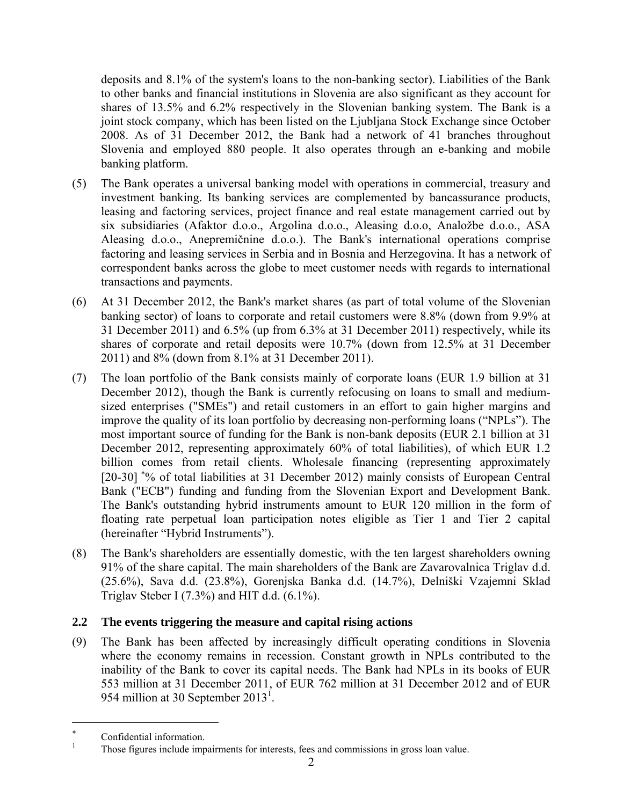deposits and 8.1% of the system's loans to the non-banking sector). Liabilities of the Bank to other banks and financial institutions in Slovenia are also significant as they account for shares of 13.5% and 6.2% respectively in the Slovenian banking system. The Bank is a joint stock company, which has been listed on the Ljubljana Stock Exchange since October 2008. As of 31 December 2012, the Bank had a network of 41 branches throughout Slovenia and employed 880 people. It also operates through an e-banking and mobile banking platform.

- (5) The Bank operates a universal banking model with operations in commercial, treasury and investment banking. Its banking services are complemented by bancassurance products, leasing and factoring services, project finance and real estate management carried out by six subsidiaries (Afaktor d.o.o., Argolina d.o.o., Aleasing d.o.o, Analožbe d.o.o., ASA Aleasing d.o.o., Anepremičnine d.o.o.). The Bank's international operations comprise factoring and leasing services in Serbia and in Bosnia and Herzegovina. It has a network of correspondent banks across the globe to meet customer needs with regards to international transactions and payments.
- (6) At 31 December 2012, the Bank's market shares (as part of total volume of the Slovenian banking sector) of loans to corporate and retail customers were 8.8% (down from 9.9% at 31 December 2011) and 6.5% (up from 6.3% at 31 December 2011) respectively, while its shares of corporate and retail deposits were 10.7% (down from 12.5% at 31 December 2011) and 8% (down from 8.1% at 31 December 2011).
- (7) The loan portfolio of the Bank consists mainly of corporate loans (EUR 1.9 billion at 31 December 2012), though the Bank is currently refocusing on loans to small and mediumsized enterprises ("SMEs") and retail customers in an effort to gain higher margins and improve the quality of its loan portfolio by decreasing non-performing loans ("NPLs"). The most important source of funding for the Bank is non-bank deposits (EUR 2.1 billion at 31 December 2012, representing approximately 60% of total liabilities), of which EUR 1.2 billion comes from retail clients. Wholesale financing (representing approximately [20-30] \*% of total liabilities at 31 December 2012) mainly consists of European Central Bank ("ECB") funding and funding from the Slovenian Export and Development Bank. The Bank's outstanding hybrid instruments amount to EUR 120 million in the form of floating rate perpetual loan participation notes eligible as Tier 1 and Tier 2 capital (hereinafter "Hybrid Instruments").
- (8) The Bank's shareholders are essentially domestic, with the ten largest shareholders owning 91% of the share capital. The main shareholders of the Bank are Zavarovalnica Triglav d.d. (25.6%), Sava d.d. (23.8%), Gorenjska Banka d.d. (14.7%), Delniški Vzajemni Sklad Triglav Steber I  $(7.3\%)$  and HIT d.d.  $(6.1\%)$ .

# **2.2 The events triggering the measure and capital rising actions**

(9) The Bank has been affected by increasingly difficult operating conditions in Slovenia where the economy remains in recession. Constant growth in NPLs contributed to the inability of the Bank to cover its capital needs. The Bank had NPLs in its books of EUR 553 million at 31 December 2011, of EUR 762 million at 31 December 2012 and of EUR 954 million at 30 September 2013<sup>1</sup>.

 $\overline{a}$ 

<sup>∗</sup>  $\sum_{n=1}^{\infty}$  Confidential information.

Those figures include impairments for interests, fees and commissions in gross loan value.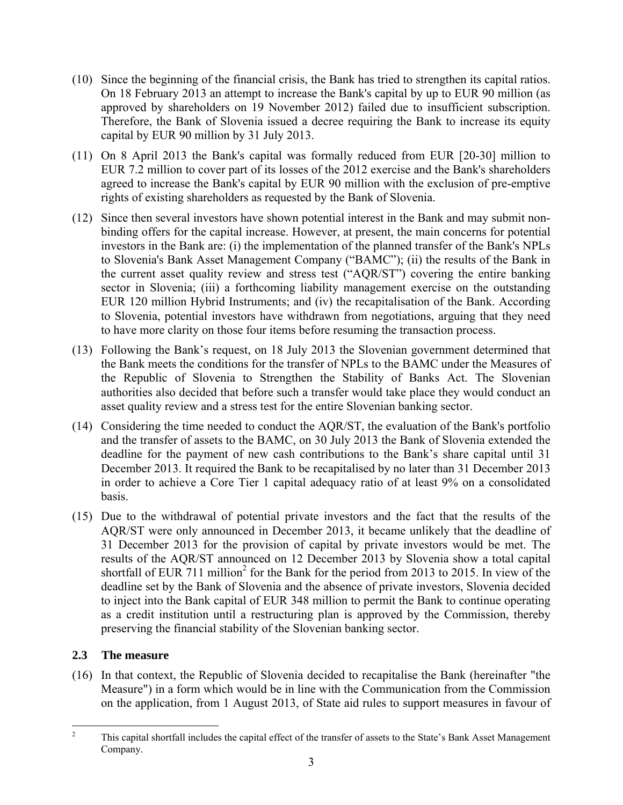- (10) Since the beginning of the financial crisis, the Bank has tried to strengthen its capital ratios. On 18 February 2013 an attempt to increase the Bank's capital by up to EUR 90 million (as approved by shareholders on 19 November 2012) failed due to insufficient subscription. Therefore, the Bank of Slovenia issued a decree requiring the Bank to increase its equity capital by EUR 90 million by 31 July 2013.
- (11) On 8 April 2013 the Bank's capital was formally reduced from EUR [20-30] million to EUR 7.2 million to cover part of its losses of the 2012 exercise and the Bank's shareholders agreed to increase the Bank's capital by EUR 90 million with the exclusion of pre-emptive rights of existing shareholders as requested by the Bank of Slovenia.
- (12) Since then several investors have shown potential interest in the Bank and may submit nonbinding offers for the capital increase. However, at present, the main concerns for potential investors in the Bank are: (i) the implementation of the planned transfer of the Bank's NPLs to Slovenia's Bank Asset Management Company ("BAMC"); (ii) the results of the Bank in the current asset quality review and stress test ("AQR/ST") covering the entire banking sector in Slovenia; (iii) a forthcoming liability management exercise on the outstanding EUR 120 million Hybrid Instruments; and (iv) the recapitalisation of the Bank. According to Slovenia, potential investors have withdrawn from negotiations, arguing that they need to have more clarity on those four items before resuming the transaction process.
- (13) Following the Bank's request, on 18 July 2013 the Slovenian government determined that the Bank meets the conditions for the transfer of NPLs to the BAMC under the Measures of the Republic of Slovenia to Strengthen the Stability of Banks Act. The Slovenian authorities also decided that before such a transfer would take place they would conduct an asset quality review and a stress test for the entire Slovenian banking sector.
- (14) Considering the time needed to conduct the AQR/ST, the evaluation of the Bank's portfolio and the transfer of assets to the BAMC, on 30 July 2013 the Bank of Slovenia extended the deadline for the payment of new cash contributions to the Bank's share capital until 31 December 2013. It required the Bank to be recapitalised by no later than 31 December 2013 in order to achieve a Core Tier 1 capital adequacy ratio of at least 9% on a consolidated basis.
- (15) Due to the withdrawal of potential private investors and the fact that the results of the AQR/ST were only announced in December 2013, it became unlikely that the deadline of 31 December 2013 for the provision of capital by private investors would be met. The results of the AQR/ST announced on 12 December 2013 by Slovenia show a total capital shortfall of EUR  $711$  million<sup>2</sup> for the Bank for the period from 2013 to 2015. In view of the deadline set by the Bank of Slovenia and the absence of private investors, Slovenia decided to inject into the Bank capital of EUR 348 million to permit the Bank to continue operating as a credit institution until a restructuring plan is approved by the Commission, thereby preserving the financial stability of the Slovenian banking sector.

# **2.3 The measure**

(16) In that context, the Republic of Slovenia decided to recapitalise the Bank (hereinafter "the Measure") in a form which would be in line with the Communication from the Commission on the application, from 1 August 2013, of State aid rules to support measures in favour of

 $\overline{2}$ 2 This capital shortfall includes the capital effect of the transfer of assets to the State's Bank Asset Management Company.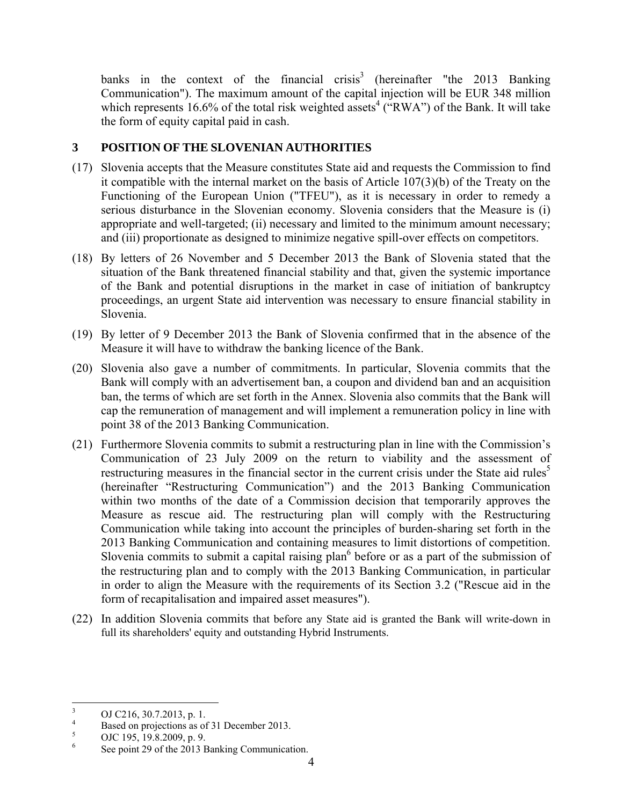banks in the context of the financial crisis<sup>3</sup> (hereinafter "the 2013 Banking Communication"). The maximum amount of the capital injection will be EUR 348 million which represents 16.6% of the total risk weighted assets<sup>4</sup> ("RWA") of the Bank. It will take the form of equity capital paid in cash.

## **3 POSITION OF THE SLOVENIAN AUTHORITIES**

- (17) Slovenia accepts that the Measure constitutes State aid and requests the Commission to find it compatible with the internal market on the basis of Article 107(3)(b) of the Treaty on the Functioning of the European Union ("TFEU"), as it is necessary in order to remedy a serious disturbance in the Slovenian economy. Slovenia considers that the Measure is (i) appropriate and well-targeted; (ii) necessary and limited to the minimum amount necessary; and (iii) proportionate as designed to minimize negative spill-over effects on competitors.
- (18) By letters of 26 November and 5 December 2013 the Bank of Slovenia stated that the situation of the Bank threatened financial stability and that, given the systemic importance of the Bank and potential disruptions in the market in case of initiation of bankruptcy proceedings, an urgent State aid intervention was necessary to ensure financial stability in Slovenia.
- (19) By letter of 9 December 2013 the Bank of Slovenia confirmed that in the absence of the Measure it will have to withdraw the banking licence of the Bank.
- (20) Slovenia also gave a number of commitments. In particular, Slovenia commits that the Bank will comply with an advertisement ban, a coupon and dividend ban and an acquisition ban, the terms of which are set forth in the Annex. Slovenia also commits that the Bank will cap the remuneration of management and will implement a remuneration policy in line with point 38 of the 2013 Banking Communication.
- (21) Furthermore Slovenia commits to submit a restructuring plan in line with the Commission's Communication of 23 July 2009 on the return to viability and the assessment of restructuring measures in the financial sector in the current crisis under the State aid rules<sup>5</sup> (hereinafter "Restructuring Communication") and the 2013 Banking Communication within two months of the date of a Commission decision that temporarily approves the Measure as rescue aid. The restructuring plan will comply with the Restructuring Communication while taking into account the principles of burden-sharing set forth in the 2013 Banking Communication and containing measures to limit distortions of competition. Slovenia commits to submit a capital raising plan $<sup>6</sup>$  before or as a part of the submission of</sup> the restructuring plan and to comply with the 2013 Banking Communication, in particular in order to align the Measure with the requirements of its Section 3.2 ("Rescue aid in the form of recapitalisation and impaired asset measures").
- (22) In addition Slovenia commits that before any State aid is granted the Bank will write-down in full its shareholders' equity and outstanding Hybrid Instruments.

<sup>&</sup>lt;sup>2</sup><br>3 OJ C216, 30.7.2013, p. 1.

<sup>4</sup>  $\frac{4}{5}$  Based on projections as of 31 December 2013.

OJC 195, 19.8.2009, p. 9.

<sup>6</sup> See point 29 of the 2013 Banking Communication.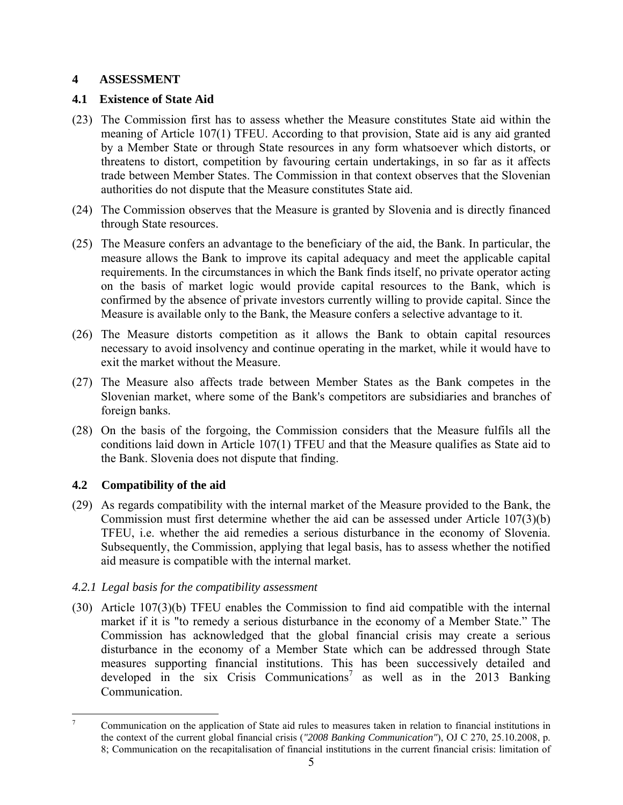### **4 ASSESSMENT**

## **4.1 Existence of State Aid**

- (23) The Commission first has to assess whether the Measure constitutes State aid within the meaning of Article 107(1) TFEU. According to that provision, State aid is any aid granted by a Member State or through State resources in any form whatsoever which distorts, or threatens to distort, competition by favouring certain undertakings, in so far as it affects trade between Member States. The Commission in that context observes that the Slovenian authorities do not dispute that the Measure constitutes State aid.
- (24) The Commission observes that the Measure is granted by Slovenia and is directly financed through State resources.
- (25) The Measure confers an advantage to the beneficiary of the aid, the Bank. In particular, the measure allows the Bank to improve its capital adequacy and meet the applicable capital requirements. In the circumstances in which the Bank finds itself, no private operator acting on the basis of market logic would provide capital resources to the Bank, which is confirmed by the absence of private investors currently willing to provide capital. Since the Measure is available only to the Bank, the Measure confers a selective advantage to it.
- (26) The Measure distorts competition as it allows the Bank to obtain capital resources necessary to avoid insolvency and continue operating in the market, while it would have to exit the market without the Measure.
- (27) The Measure also affects trade between Member States as the Bank competes in the Slovenian market, where some of the Bank's competitors are subsidiaries and branches of foreign banks.
- (28) On the basis of the forgoing, the Commission considers that the Measure fulfils all the conditions laid down in Article 107(1) TFEU and that the Measure qualifies as State aid to the Bank. Slovenia does not dispute that finding.

# **4.2 Compatibility of the aid**

(29) As regards compatibility with the internal market of the Measure provided to the Bank, the Commission must first determine whether the aid can be assessed under Article 107(3)(b) TFEU, i.e. whether the aid remedies a serious disturbance in the economy of Slovenia. Subsequently, the Commission, applying that legal basis, has to assess whether the notified aid measure is compatible with the internal market.

# *4.2.1 Legal basis for the compatibility assessment*

(30) Article 107(3)(b) TFEU enables the Commission to find aid compatible with the internal market if it is "to remedy a serious disturbance in the economy of a Member State." The Commission has acknowledged that the global financial crisis may create a serious disturbance in the economy of a Member State which can be addressed through State measures supporting financial institutions. This has been successively detailed and developed in the six Crisis Communications<sup>7</sup> as well as in the 2013 Banking Communication.

<sup>-&</sup>lt;br>7 Communication on the application of State aid rules to measures taken in relation to financial institutions in the context of the current global financial crisis (*"2008 Banking Communication"*), OJ C 270, 25.10.2008, p. 8; Communication on the recapitalisation of financial institutions in the current financial crisis: limitation of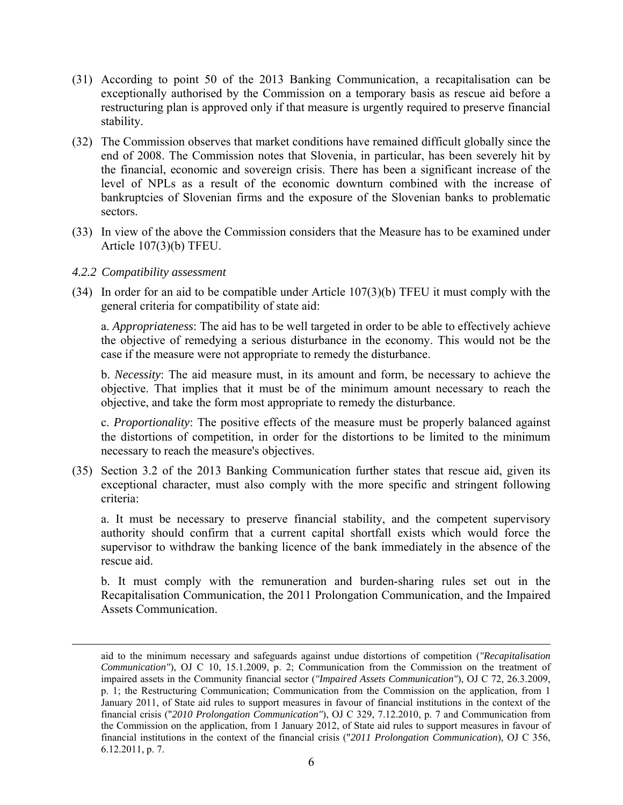- (31) According to point 50 of the 2013 Banking Communication, a recapitalisation can be exceptionally authorised by the Commission on a temporary basis as rescue aid before a restructuring plan is approved only if that measure is urgently required to preserve financial stability.
- (32) The Commission observes that market conditions have remained difficult globally since the end of 2008. The Commission notes that Slovenia, in particular, has been severely hit by the financial, economic and sovereign crisis. There has been a significant increase of the level of NPLs as a result of the economic downturn combined with the increase of bankruptcies of Slovenian firms and the exposure of the Slovenian banks to problematic sectors.
- (33) In view of the above the Commission considers that the Measure has to be examined under Article 107(3)(b) TFEU.

### *4.2.2 Compatibility assessment*

(34) In order for an aid to be compatible under Article 107(3)(b) TFEU it must comply with the general criteria for compatibility of state aid:

a. *Appropriateness*: The aid has to be well targeted in order to be able to effectively achieve the objective of remedying a serious disturbance in the economy. This would not be the case if the measure were not appropriate to remedy the disturbance.

b. *Necessity*: The aid measure must, in its amount and form, be necessary to achieve the objective. That implies that it must be of the minimum amount necessary to reach the objective, and take the form most appropriate to remedy the disturbance.

c. *Proportionality*: The positive effects of the measure must be properly balanced against the distortions of competition, in order for the distortions to be limited to the minimum necessary to reach the measure's objectives.

(35) Section 3.2 of the 2013 Banking Communication further states that rescue aid, given its exceptional character, must also comply with the more specific and stringent following criteria:

a. It must be necessary to preserve financial stability, and the competent supervisory authority should confirm that a current capital shortfall exists which would force the supervisor to withdraw the banking licence of the bank immediately in the absence of the rescue aid.

b. It must comply with the remuneration and burden-sharing rules set out in the Recapitalisation Communication, the 2011 Prolongation Communication, and the Impaired Assets Communication.

aid to the minimum necessary and safeguards against undue distortions of competition (*"Recapitalisation Communication"*), OJ C 10, 15.1.2009, p. 2; Communication from the Commission on the treatment of impaired assets in the Community financial sector (*"Impaired Assets Communication"*), OJ C 72, 26.3.2009, p. 1; the Restructuring Communication; Communication from the Commission on the application, from 1 January 2011, of State aid rules to support measures in favour of financial institutions in the context of the financial crisis ("*2010 Prolongation Communication"*), OJ C 329, 7.12.2010, p. 7 and Communication from the Commission on the application, from 1 January 2012, of State aid rules to support measures in favour of financial institutions in the context of the financial crisis ("*2011 Prolongation Communication*), OJ C 356, 6.12.2011, p. 7.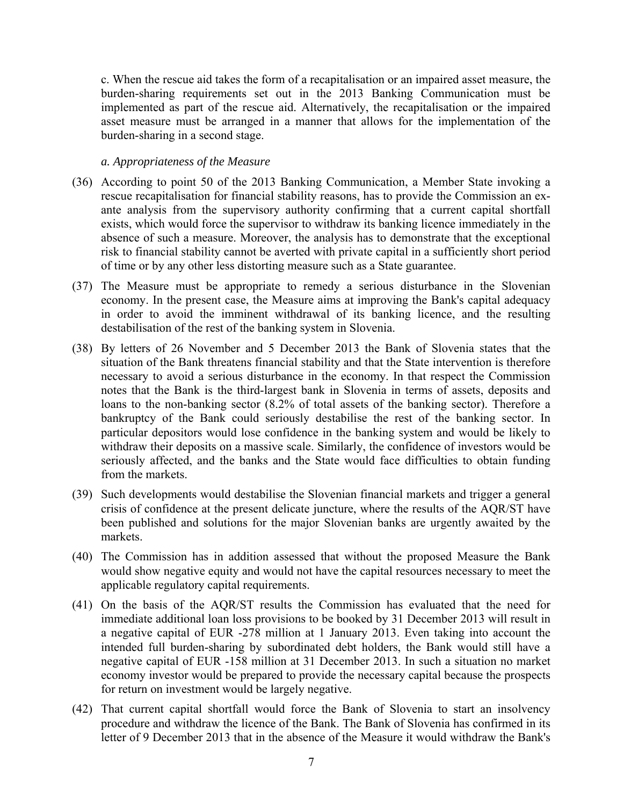c. When the rescue aid takes the form of a recapitalisation or an impaired asset measure, the burden-sharing requirements set out in the 2013 Banking Communication must be implemented as part of the rescue aid. Alternatively, the recapitalisation or the impaired asset measure must be arranged in a manner that allows for the implementation of the burden-sharing in a second stage.

#### *a. Appropriateness of the Measure*

- (36) According to point 50 of the 2013 Banking Communication, a Member State invoking a rescue recapitalisation for financial stability reasons, has to provide the Commission an exante analysis from the supervisory authority confirming that a current capital shortfall exists, which would force the supervisor to withdraw its banking licence immediately in the absence of such a measure. Moreover, the analysis has to demonstrate that the exceptional risk to financial stability cannot be averted with private capital in a sufficiently short period of time or by any other less distorting measure such as a State guarantee.
- (37) The Measure must be appropriate to remedy a serious disturbance in the Slovenian economy. In the present case, the Measure aims at improving the Bank's capital adequacy in order to avoid the imminent withdrawal of its banking licence, and the resulting destabilisation of the rest of the banking system in Slovenia.
- (38) By letters of 26 November and 5 December 2013 the Bank of Slovenia states that the situation of the Bank threatens financial stability and that the State intervention is therefore necessary to avoid a serious disturbance in the economy. In that respect the Commission notes that the Bank is the third-largest bank in Slovenia in terms of assets, deposits and loans to the non-banking sector (8.2% of total assets of the banking sector). Therefore a bankruptcy of the Bank could seriously destabilise the rest of the banking sector. In particular depositors would lose confidence in the banking system and would be likely to withdraw their deposits on a massive scale. Similarly, the confidence of investors would be seriously affected, and the banks and the State would face difficulties to obtain funding from the markets.
- (39) Such developments would destabilise the Slovenian financial markets and trigger a general crisis of confidence at the present delicate juncture, where the results of the AQR/ST have been published and solutions for the major Slovenian banks are urgently awaited by the markets.
- (40) The Commission has in addition assessed that without the proposed Measure the Bank would show negative equity and would not have the capital resources necessary to meet the applicable regulatory capital requirements.
- (41) On the basis of the AQR/ST results the Commission has evaluated that the need for immediate additional loan loss provisions to be booked by 31 December 2013 will result in a negative capital of EUR -278 million at 1 January 2013. Even taking into account the intended full burden-sharing by subordinated debt holders, the Bank would still have a negative capital of EUR -158 million at 31 December 2013. In such a situation no market economy investor would be prepared to provide the necessary capital because the prospects for return on investment would be largely negative.
- (42) That current capital shortfall would force the Bank of Slovenia to start an insolvency procedure and withdraw the licence of the Bank. The Bank of Slovenia has confirmed in its letter of 9 December 2013 that in the absence of the Measure it would withdraw the Bank's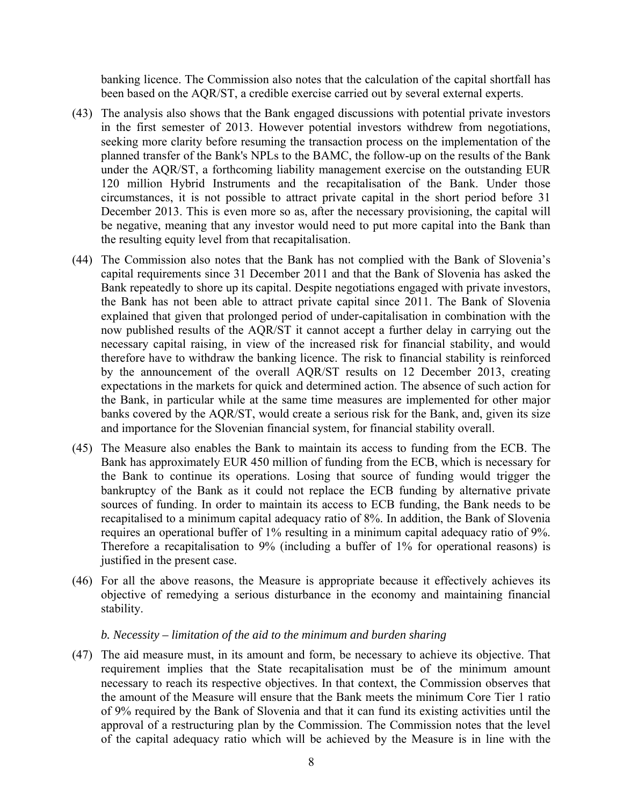banking licence. The Commission also notes that the calculation of the capital shortfall has been based on the AQR/ST, a credible exercise carried out by several external experts.

- (43) The analysis also shows that the Bank engaged discussions with potential private investors in the first semester of 2013. However potential investors withdrew from negotiations, seeking more clarity before resuming the transaction process on the implementation of the planned transfer of the Bank's NPLs to the BAMC, the follow-up on the results of the Bank under the AQR/ST, a forthcoming liability management exercise on the outstanding EUR 120 million Hybrid Instruments and the recapitalisation of the Bank. Under those circumstances, it is not possible to attract private capital in the short period before 31 December 2013. This is even more so as, after the necessary provisioning, the capital will be negative, meaning that any investor would need to put more capital into the Bank than the resulting equity level from that recapitalisation.
- (44) The Commission also notes that the Bank has not complied with the Bank of Slovenia's capital requirements since 31 December 2011 and that the Bank of Slovenia has asked the Bank repeatedly to shore up its capital. Despite negotiations engaged with private investors, the Bank has not been able to attract private capital since 2011. The Bank of Slovenia explained that given that prolonged period of under-capitalisation in combination with the now published results of the AQR/ST it cannot accept a further delay in carrying out the necessary capital raising, in view of the increased risk for financial stability, and would therefore have to withdraw the banking licence. The risk to financial stability is reinforced by the announcement of the overall AQR/ST results on 12 December 2013, creating expectations in the markets for quick and determined action. The absence of such action for the Bank, in particular while at the same time measures are implemented for other major banks covered by the AQR/ST, would create a serious risk for the Bank, and, given its size and importance for the Slovenian financial system, for financial stability overall.
- (45) The Measure also enables the Bank to maintain its access to funding from the ECB. The Bank has approximately EUR 450 million of funding from the ECB, which is necessary for the Bank to continue its operations. Losing that source of funding would trigger the bankruptcy of the Bank as it could not replace the ECB funding by alternative private sources of funding. In order to maintain its access to ECB funding, the Bank needs to be recapitalised to a minimum capital adequacy ratio of 8%. In addition, the Bank of Slovenia requires an operational buffer of 1% resulting in a minimum capital adequacy ratio of 9%. Therefore a recapitalisation to 9% (including a buffer of 1% for operational reasons) is justified in the present case.
- (46) For all the above reasons, the Measure is appropriate because it effectively achieves its objective of remedying a serious disturbance in the economy and maintaining financial stability.

#### *b. Necessity – limitation of the aid to the minimum and burden sharing*

(47) The aid measure must, in its amount and form, be necessary to achieve its objective. That requirement implies that the State recapitalisation must be of the minimum amount necessary to reach its respective objectives. In that context, the Commission observes that the amount of the Measure will ensure that the Bank meets the minimum Core Tier 1 ratio of 9% required by the Bank of Slovenia and that it can fund its existing activities until the approval of a restructuring plan by the Commission. The Commission notes that the level of the capital adequacy ratio which will be achieved by the Measure is in line with the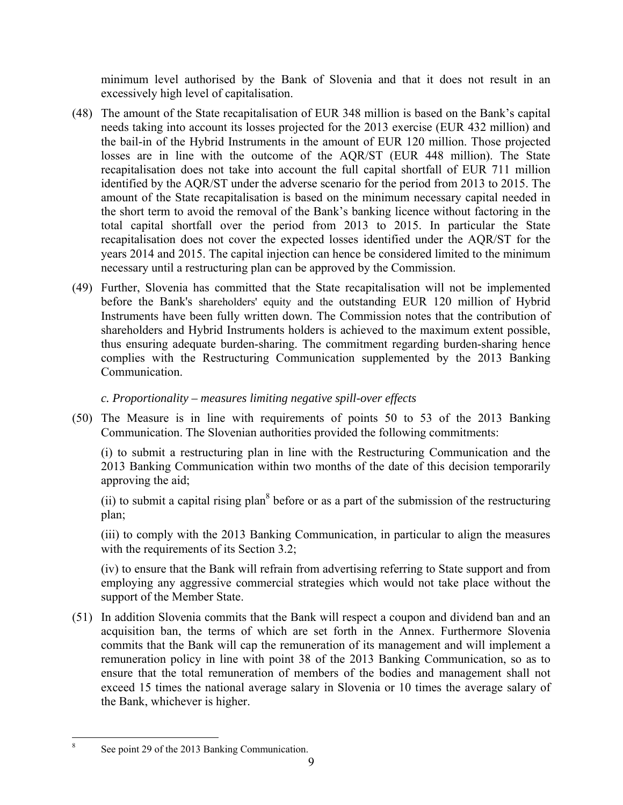minimum level authorised by the Bank of Slovenia and that it does not result in an excessively high level of capitalisation.

- (48) The amount of the State recapitalisation of EUR 348 million is based on the Bank's capital needs taking into account its losses projected for the 2013 exercise (EUR 432 million) and the bail-in of the Hybrid Instruments in the amount of EUR 120 million. Those projected losses are in line with the outcome of the AQR/ST (EUR 448 million). The State recapitalisation does not take into account the full capital shortfall of EUR 711 million identified by the AQR/ST under the adverse scenario for the period from 2013 to 2015. The amount of the State recapitalisation is based on the minimum necessary capital needed in the short term to avoid the removal of the Bank's banking licence without factoring in the total capital shortfall over the period from 2013 to 2015. In particular the State recapitalisation does not cover the expected losses identified under the AQR/ST for the years 2014 and 2015. The capital injection can hence be considered limited to the minimum necessary until a restructuring plan can be approved by the Commission.
- (49) Further, Slovenia has committed that the State recapitalisation will not be implemented before the Bank's shareholders' equity and the outstanding EUR 120 million of Hybrid Instruments have been fully written down. The Commission notes that the contribution of shareholders and Hybrid Instruments holders is achieved to the maximum extent possible, thus ensuring adequate burden-sharing. The commitment regarding burden-sharing hence complies with the Restructuring Communication supplemented by the 2013 Banking Communication.

## *c. Proportionality – measures limiting negative spill-over effects*

(50) The Measure is in line with requirements of points 50 to 53 of the 2013 Banking Communication. The Slovenian authorities provided the following commitments:

(i) to submit a restructuring plan in line with the Restructuring Communication and the 2013 Banking Communication within two months of the date of this decision temporarily approving the aid;

(ii) to submit a capital rising plan<sup>8</sup> before or as a part of the submission of the restructuring plan;

(iii) to comply with the 2013 Banking Communication, in particular to align the measures with the requirements of its Section 3.2;

(iv) to ensure that the Bank will refrain from advertising referring to State support and from employing any aggressive commercial strategies which would not take place without the support of the Member State.

(51) In addition Slovenia commits that the Bank will respect a coupon and dividend ban and an acquisition ban, the terms of which are set forth in the Annex. Furthermore Slovenia commits that the Bank will cap the remuneration of its management and will implement a remuneration policy in line with point 38 of the 2013 Banking Communication, so as to ensure that the total remuneration of members of the bodies and management shall not exceed 15 times the national average salary in Slovenia or 10 times the average salary of the Bank, whichever is higher.

 $\overline{a}$ 8 See point 29 of the 2013 Banking Communication.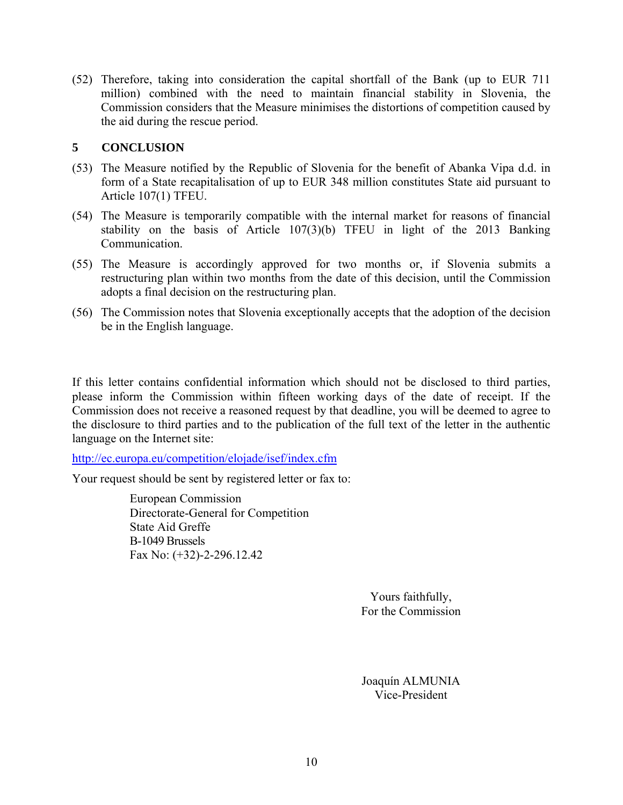(52) Therefore, taking into consideration the capital shortfall of the Bank (up to EUR 711 million) combined with the need to maintain financial stability in Slovenia, the Commission considers that the Measure minimises the distortions of competition caused by the aid during the rescue period.

### **5 CONCLUSION**

- (53) The Measure notified by the Republic of Slovenia for the benefit of Abanka Vipa d.d. in form of a State recapitalisation of up to EUR 348 million constitutes State aid pursuant to Article 107(1) TFEU.
- (54) The Measure is temporarily compatible with the internal market for reasons of financial stability on the basis of Article 107(3)(b) TFEU in light of the 2013 Banking Communication.
- (55) The Measure is accordingly approved for two months or, if Slovenia submits a restructuring plan within two months from the date of this decision, until the Commission adopts a final decision on the restructuring plan.
- (56) The Commission notes that Slovenia exceptionally accepts that the adoption of the decision be in the English language.

If this letter contains confidential information which should not be disclosed to third parties, please inform the Commission within fifteen working days of the date of receipt. If the Commission does not receive a reasoned request by that deadline, you will be deemed to agree to the disclosure to third parties and to the publication of the full text of the letter in the authentic language on the Internet site:

<http://ec.europa.eu/competition/elojade/isef/index.cfm>

Your request should be sent by registered letter or fax to:

European Commission Directorate-General for Competition State Aid Greffe B-1049 Brussels Fax No: (+32)-2-296.12.42

> Yours faithfully, For the Commission

Joaquín ALMUNIA Vice-President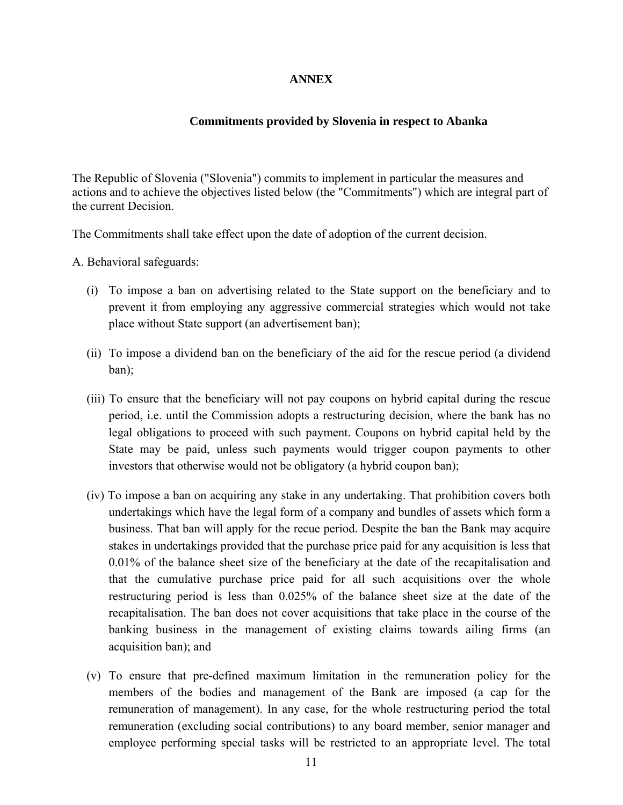### **ANNEX**

#### **Commitments provided by Slovenia in respect to Abanka**

The Republic of Slovenia ("Slovenia") commits to implement in particular the measures and actions and to achieve the objectives listed below (the "Commitments") which are integral part of the current Decision.

The Commitments shall take effect upon the date of adoption of the current decision.

A. Behavioral safeguards:

- (i) To impose a ban on advertising related to the State support on the beneficiary and to prevent it from employing any aggressive commercial strategies which would not take place without State support (an advertisement ban);
- (ii) To impose a dividend ban on the beneficiary of the aid for the rescue period (a dividend ban);
- (iii) To ensure that the beneficiary will not pay coupons on hybrid capital during the rescue period, i.e. until the Commission adopts a restructuring decision, where the bank has no legal obligations to proceed with such payment. Coupons on hybrid capital held by the State may be paid, unless such payments would trigger coupon payments to other investors that otherwise would not be obligatory (a hybrid coupon ban);
- (iv) To impose a ban on acquiring any stake in any undertaking. That prohibition covers both undertakings which have the legal form of a company and bundles of assets which form a business. That ban will apply for the recue period. Despite the ban the Bank may acquire stakes in undertakings provided that the purchase price paid for any acquisition is less that 0.01% of the balance sheet size of the beneficiary at the date of the recapitalisation and that the cumulative purchase price paid for all such acquisitions over the whole restructuring period is less than 0.025% of the balance sheet size at the date of the recapitalisation. The ban does not cover acquisitions that take place in the course of the banking business in the management of existing claims towards ailing firms (an acquisition ban); and
- (v) To ensure that pre-defined maximum limitation in the remuneration policy for the members of the bodies and management of the Bank are imposed (a cap for the remuneration of management). In any case, for the whole restructuring period the total remuneration (excluding social contributions) to any board member, senior manager and employee performing special tasks will be restricted to an appropriate level. The total